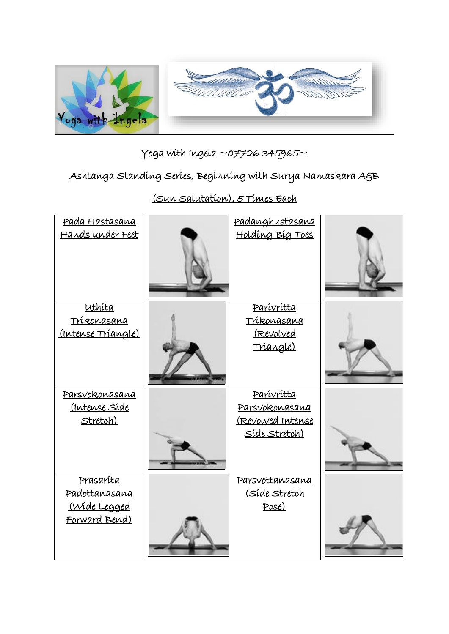

## $Yoga with Ingela  $\sim$ 07726345965~$

## Ashtanga Standing Series, Beginning with Surya Namaskara A&B

| <u>Pada Hastasana</u><br><u>Hands under Feet</u>                                 | Padanghustasana<br><u>Holding Big Toes</u>                                 |  |
|----------------------------------------------------------------------------------|----------------------------------------------------------------------------|--|
| uthita<br>Tríkonasana<br>(Intense Triangle)                                      | Parívrítta<br>Tríkonasana<br><u>(Revolved</u><br><u>Triangle)</u>          |  |
| Parsvokonasana<br>(Intense Síde<br><u>Stretch)</u>                               | Parívrítta<br>Parsvokonasana<br>(Revolved Intense<br><u> Síde Stretch)</u> |  |
| <u>Prasaríta</u><br><u>Padottanasana</u><br><u>(Wide Legged</u><br>Forward Bend) | Parsvottanasana<br><u>(Síde Stretch</u><br>Pose)                           |  |

(Sun Salutation), 5 Times Each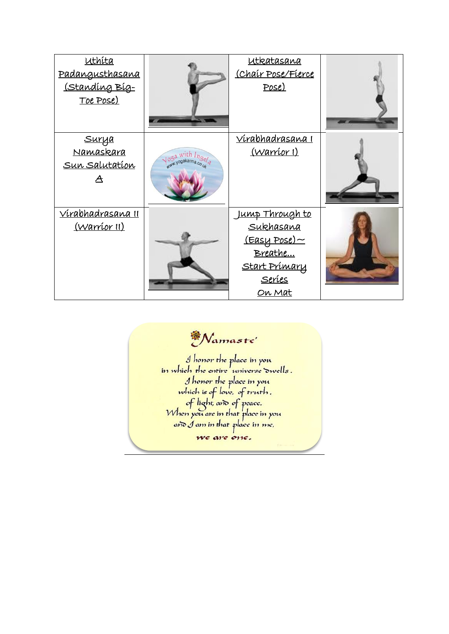| uthita<br>Padangusthasana<br><u>(Standing Big-</u><br><u>Toe Pose)</u> |                                           | <u>utkatasana</u><br>(Chair Pose/Fierce<br>Pose)                                                           |  |
|------------------------------------------------------------------------|-------------------------------------------|------------------------------------------------------------------------------------------------------------|--|
| <u>Surya</u><br><u>Namaskara</u><br><u>Sun Salutation</u>              | $\sqrt{\frac{95a}{m^2}}$ with $ln_{3e/a}$ | <u>Vírabhadrasana I</u><br><u>(Warríor I)</u>                                                              |  |
| <u>Vírabhadrasana II</u><br><u>(Warríor II)</u>                        |                                           | <u>Jump Through to</u><br>Sukhasana<br>(Easy Pose)~<br>Breathe<br><u>Start Prímary</u><br>Seríes<br>On Mat |  |

<sup>A</sup>Namaste

I honor the place in you.<br>In which the entire universe owells.<br>I honor the place in you.<br>which is of love, of truth.<br>of light, and of peace.<br>When you are in that place in you.<br>and I am in that place in me, we are one.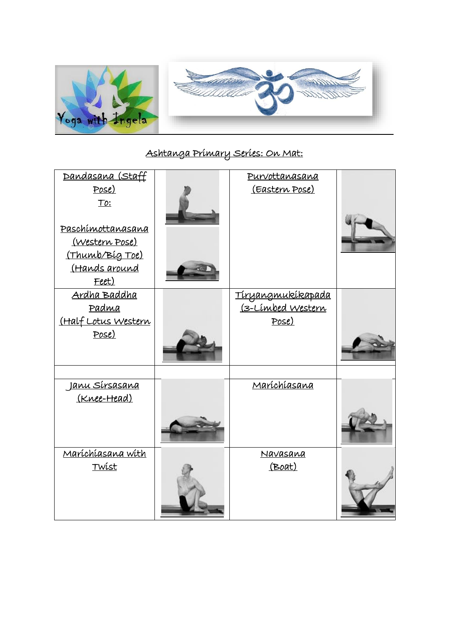

## Ashtanga Primary Series: On Mat:

| Dandasana (Staff      | Purvottanasana    |  |
|-----------------------|-------------------|--|
| Pose)                 | (Eastern Pose)    |  |
| To:                   |                   |  |
|                       |                   |  |
| Paschímottanasana     |                   |  |
| (Western Pose)        |                   |  |
| (Thumb/Bíg Toe)       |                   |  |
| (Hands around         |                   |  |
| Feet)                 |                   |  |
|                       |                   |  |
| Ardha Baddha          | Tíryangmukíkapada |  |
| Padma                 | (3-Limbed Western |  |
| (Half Lotus Western   | Pose)             |  |
| Pose)                 |                   |  |
|                       |                   |  |
|                       |                   |  |
|                       |                   |  |
| <u>Janu Sírsasana</u> | Maríchíasana      |  |
| (Knee-Head)           |                   |  |
|                       |                   |  |
|                       |                   |  |
|                       |                   |  |
|                       |                   |  |
| Maríchíasana wíth     | Navasana          |  |
| Twist                 | (Boat)            |  |
|                       |                   |  |
|                       |                   |  |
|                       |                   |  |
|                       |                   |  |